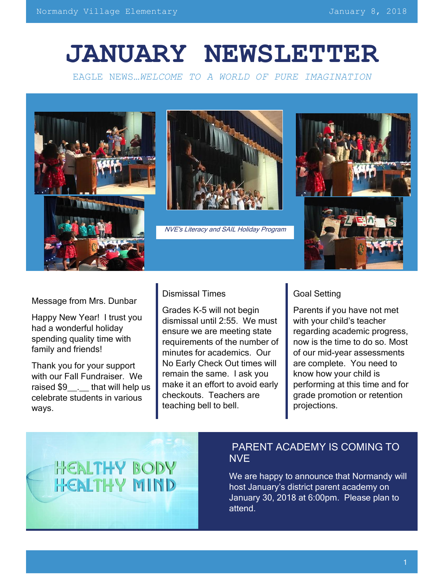# **JANUARY NEWSLETTER**

EAGLE NEWS…*WELCOME TO A WORLD OF PURE IMAGINATION*





NVE's Literacy and SAIL Holiday Program



Message from Mrs. Dunbar

Happy New Year! I trust you had a wonderful holiday spending quality time with family and friends!

Thank you for your support with our Fall Fundraiser. We raised \$9 . that will help us celebrate students in various ways.

#### Dismissal Times

Grades K-5 will not begin dismissal until 2:55. We must ensure we are meeting state requirements of the number of minutes for academics. Our No Early Check Out times will remain the same. I ask you make it an effort to avoid early checkouts. Teachers are teaching bell to bell.

## Goal Setting

Parents if you have not met with your child's teacher regarding academic progress, now is the time to do so. Most of our mid-year assessments are complete. You need to know how your child is performing at this time and for grade promotion or retention projections.



## PARENT ACADEMY IS COMING TO NVE

We are happy to announce that Normandy will host January's district parent academy on January 30, 2018 at 6:00pm. Please plan to attend.